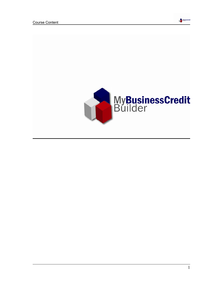

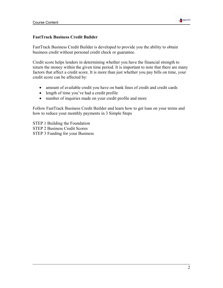

#### **FastTrack Business Credit Builder**

FastTrack Business Credit Builder is developed to provide you the ability to obtain business credit without personal credit check or guarantee.

Credit score helps lenders in determining whether you have the financial strength to return the money within the given time period. It is important to note that there are many factors that affect a credit score. It is more than just whether you pay bills on time, your credit score can be affected by:

- amount of available credit you have on bank lines of credit and credit cards
- length of time you've had a credit profile
- number of inquiries made on your credit profile and more

Follow FastTrack Business Credit Builder and learn how to get loan on your terms and how to reduce your monthly payments in 3 Simple Steps

STEP 1 Building the Foundation STEP 2 Business Credit Scores STEP 3 Funding for your Business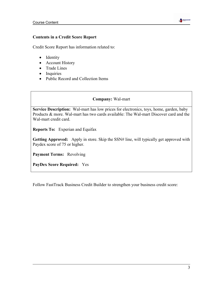

#### **Contents in a Credit Score Report**

Credit Score Report has information related to:

- Identity
- Account History
- Trade Lines
- Inquiries
- Public Record and Collection Items

#### **Company:** Wal-mart

**Service Description:** Wal-mart has low prices for electronics, toys, home, garden, baby Products & more. Wal-mart has two cards available: The Wal-mart Discover card and the Wal-mart credit card.

**Reports To:** Experian and Equifax

**Getting Approved:** Apply in store. Skip the SSN# line, will typically get approved with Paydex score of 75 or higher.

**Payment Terms:** Revolving

**PayDex Score Required:** Yes

Follow FastTrack Business Credit Builder to strengthen your business credit score: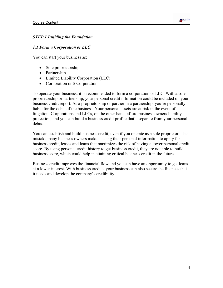

#### *STEP 1 Building the Foundation*

#### *1.1 Form a Corporation or LLC*

You can start your business as:

- Sole proprietorship
- Partnership
- Limited Liability Corporation (LLC)
- Corporation or S Corporation

To operate your business, it is recommended to form a corporation or LLC. With a sole proprietorship or partnership, your personal credit information could be included on your business credit report. As a proprietorship or partner in a partnership, you're personally liable for the debts of the business. Your personal assets are at risk in the event of litigation. Corporations and LLCs, on the other hand, afford business owners liability protection, and you can build a business credit profile that's separate from your personal debts.

You can establish and build business credit, even if you operate as a sole proprietor. The mistake many business owners make is using their personal information to apply for business credit, leases and loans that maximizes the risk of having a lower personal credit score. By using personal credit history to get business credit, they are not able to build business score, which could help in attaining critical business credit in the future.

Business credit improves the financial flow and you can have an opportunity to get loans at a lower interest. With business credits, your business can also secure the finances that it needs and develop the company's credibility.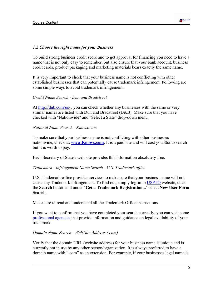

#### *1.2 Choose the right name for your Business*

To build strong business credit score and to get approval for financing you need to have a name that is not only easy to remember, but also ensure that your bank account, business credit cards, product packaging and marketing materials bears exactly the same name.

It is very important to check that your business name is not conflicting with other established businesses that can potentially cause trademark infringement. Following are some simple ways to avoid trademark infringement:

#### *Credit Name Search - Dun and Bradstreet*

At http://dnb.com/us/, you can check whether any businesses with the same or very similar names are listed with Dun and Bradstreet (D&B). Make sure that you have checked with "Nationwide" and "Select a State" drop-down menu.

#### *National Name Search - Knowx.com*

To make sure that your business name is not conflicting with other businesses nationwide, check at: **www.Knowx.com**. It is a paid site and will cost you \$65 to search but it is worth to pay.

Each Secretary of State's web site provides this information absolutely free.

#### *Trademark - Infringement Name Search* - *U.S. Trademark office*

U.S. Trademark office provides services to make sure that your business name will not cause any Trademark infringement. To find out, simply log-in to USPTO website, click the **Search** button and under "**Get a Trademark Registration...**" select **New User Form Search**.

Make sure to read and understand all the Trademark Office instructions.

If you want to confirm that you have completed your search correctly, you can visit some professional agencies that provide information and guidance on legal availability of your trademark.

#### *Domain Name Search - Web Site Address (.com)*

Verify that the domain URL (website address) for your business name is unique and is currently not in use by any other person/organization. It is always preferred to have a domain name with ".com" as an extension. For example, if your businesses legal name is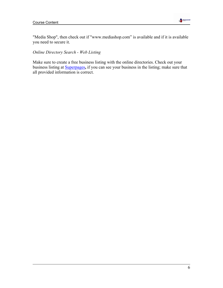

"Media Shop", then check out if "www.mediashop.com" is available and if it is available you need to secure it.

### *Online Directory Search - Web Listing*

Make sure to create a free business listing with the online directories. Check out your business listing at Superpages**,** if you can see your business in the listing; make sure that all provided information is correct.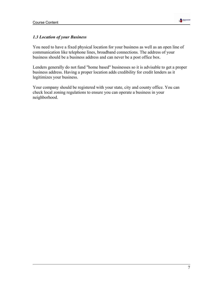

## *1.3 Location of your Business*

You need to have a fixed physical location for your business as well as an open line of communication like telephone lines, broadband connections. The address of your business should be a business address and can never be a post office box.

Lenders generally do not fund "home based" businesses so it is advisable to get a proper business address. Having a proper location adds credibility for credit lenders as it legitimizes your business.

Your company should be registered with your state, city and county office. You can check local zoning regulations to ensure you can operate a business in your neighborhood.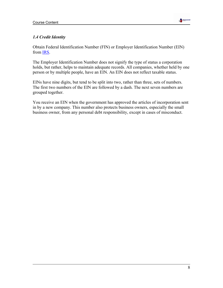

## *1.4 Credit Identity*

Obtain Federal Identification Number (FIN) or Employer Identification Number (EIN) from IRS.

The Employer Identification Number does not signify the type of status a corporation holds, but rather, helps to maintain adequate records. All companies, whether held by one person or by multiple people, have an EIN. An EIN does not reflect taxable status.

EINs have nine digits, but tend to be split into two, rather than three, sets of numbers. The first two numbers of the EIN are followed by a dash. The next seven numbers are grouped together.

You receive an EIN when the government has approved the articles of incorporation sent in by a new company. This number also protects business owners, especially the small business owner, from any personal debt responsibility, except in cases of misconduct.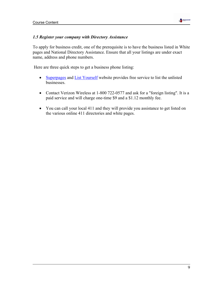

#### *1.5 Register your company with Directory Assistance*

To apply for business credit, one of the prerequisite is to have the business listed in White pages and National Directory Assistance. Ensure that all your listings are under exact name, address and phone numbers.

Here are three quick steps to get a business phone listing:

- Superpages and List Yourself website provides free service to list the unlisted businesses.
- Contact Verizon Wireless at 1-800 722-0577 and ask for a "foreign listing". It is a paid service and will charge one-time \$9 and a \$1.12 monthly fee.
- You can call your local 411 and they will provide you assistance to get listed on the various online 411 directories and white pages.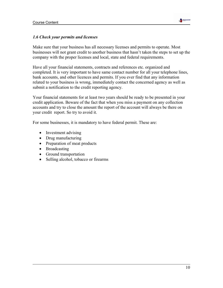

#### *1.6 Check your permits and licenses*

Make sure that your business has all necessary licenses and permits to operate. Most businesses will not grant credit to another business that hasn't taken the steps to set up the company with the proper licenses and local, state and federal requirements.

Have all your financial statements, contracts and references etc. organized and completed. It is very important to have same contact number for all your telephone lines, bank accounts, and other licences and permits. If you ever find that any information related to your business is wrong, immediately contact the concerned agency as well as submit a notification to the credit reporting agency.

Your financial statements for at least two years should be ready to be presented in your credit application. Beware of the fact that when you miss a payment on any collection accounts and try to close the amount the report of the account will always be there on your credit report. So try to avoid it.

For some businesses, it is mandatory to have federal permit. These are:

- Investment advising
- Drug manufacturing
- Preparation of meat products
- Broadcasting
- Ground transportation
- Selling alcohol, tobacco or firearms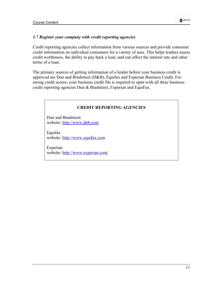

#### *1.7 Register your company with credit reporting agencies*

Credit reporting agencies collect information from various sources and provide consumer credit information on individual consumers for a variety of uses. This helps lenders assess credit worthiness, the ability to pay back a loan, and can affect the interest rate and other terms of a loan.

The primary sources of getting information of a lender before your business credit is approved are Dun and Bradstreet (D&B), Equifax and Experian Business Credit. For strong credit scores, your business credit file is required to open with all three business credit reporting agencies Dun & Bradstreet, Experian and EquiFax.

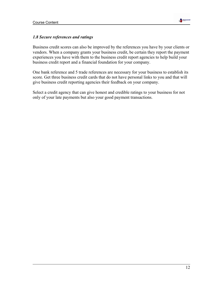

### *1.8 Secure references and ratings*

Business credit scores can also be improved by the references you have by your clients or vendors. When a company grants your business credit, be certain they report the payment experiences you have with them to the business credit report agencies to help build your business credit report and a financial foundation for your company.

One bank reference and 5 trade references are necessary for your business to establish its score. Get three business credit cards that do not have personal links to you and that will give business credit reporting agencies their feedback on your company.

Select a credit agency that can give honest and credible ratings to your business for not only of your late payments but also your good payment transactions.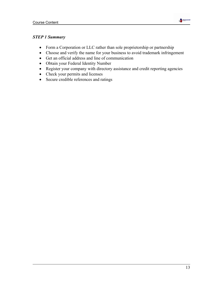

## *STEP 1 Summary*

- Form a Corporation or LLC rather than sole proprietorship or partnership
- Choose and verify the name for your business to avoid trademark infringement
- Get an official address and line of communication
- Obtain your Federal Identity Number
- Register your company with directory assistance and credit reporting agencies
- Check your permits and licenses
- Secure credible references and ratings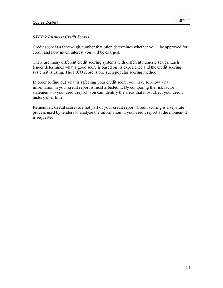

#### *STEP 2 Business Credit Scores*

Credit score is a three-digit number that often determines whether you'll be approved for credit and how much interest you will be charged.

There are many different credit scoring systems with different numeric scales. Each lender determines what a good score is based on its experience and the credit scoring system it is using. The FICO score is one such popular scoring method.

In order to find out what is affecting your credit score, you have to know what information in your credit report is most affected it. By comparing the risk factor statements to your credit report, you can identify the areas that most affect your credit history over time.

Remember: Credit scores are not part of your credit report. Credit scoring is a separate process used by lenders to analyze the information in your credit report at the moment it is requested.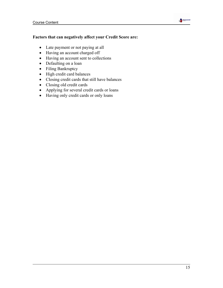# **Table**

#### **Factors that can negatively affect your Credit Score are:**

- Late payment or not paying at all
- Having an account charged off
- Having an account sent to collections
- Defaulting on a loan
- Filing Bankruptcy
- High credit card balances
- Closing credit cards that still have balances
- Closing old credit cards
- Applying for several credit cards or loans
- Having only credit cards or only loans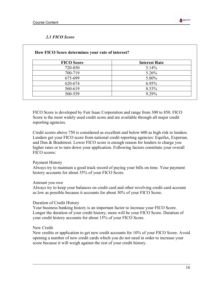

### *2.1 FICO Score*

| <b>FICO</b> Score | <b>Interest Rate</b> |
|-------------------|----------------------|
| 720-850           | 5.14%                |
| 700-719           | 5.26%                |
| 675-699           | 5.80%                |
| 620-674           | 6.95%                |
| 560-619           | 8.53%                |
| 500-559           | 9 2 9%               |

FICO Score is developed by Fair Isaac Corporation and range from 300 to 850. FICO Score is the most widely used credit score and are available through all major credit reporting agencies.

Credit scores above 750 is considered as excellent and below 600 as high risk to lenders. Lenders get your FICO score from national credit reporting agencies: Equifax, Experian, and Dun & Bradstreet. Lower FICO score is enough reason for lenders to charge you higher rates or to turn down your application. Following factors constitute your overall FICO scores:

#### Payment History

Always try to maintain a good track record of paying your bills on time. Your payment history accounts for about 35% of your FICO Score.

#### Amount you owe

Always try to keep your balances on credit card and other revolving credit card account as low as possible because it accounts for about 30% of your FICO Score.

#### Duration of Credit History

Your business banking history is an important factor to increase your FICO Score. Longer the duration of your credit history; more will be your FICO Score. Duration of your credit history accounts for about 15% of your FICO Score.

#### New Credit

New credits or application to get new credit accounts for 10% of your FICO Score. Avoid opening a number of new credit cards which you do not need in order to increase your score because it will weigh against the rest of your credit history.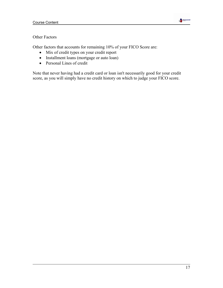

### Other Factors

Other factors that accounts for remaining 10% of your FICO Score are:

- Mix of credit types on your credit report
- Installment loans (mortgage or auto loan)
- Personal Lines of credit

Note that never having had a credit card or loan isn't necessarily good for your credit score, as you will simply have no credit history on which to judge your FICO score.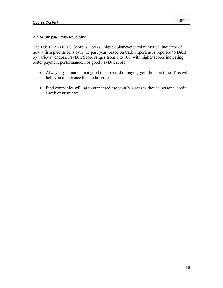

## *2.2 Know your PayDex Score*

The D&B PAYDEX® Score is D&B's unique dollar-weighted numerical indicator of how a firm paid its bills over the past year, based on trade experiences reported to D&B by various vendors. PayDex Score ranges from 1 to 100, with higher scores indicating better payment performance. For good PayDex score:

- Always try to maintain a good track record of paying your bills on time. This will help you to enhance the credit score.
- Find companies willing to grant credit to your business without a personal credit check or guarantee.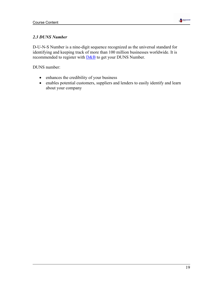

### *2.3 DUNS Number*

D-U-N-S Number is a nine-digit sequence recognized as the universal standard for identifying and keeping track of more than 100 million businesses worldwide. It is recommended to register with  $D&B$  to get your DUNS Number.

DUNS number:

- enhances the credibility of your business
- enables potential customers, suppliers and lenders to easily identify and learn about your company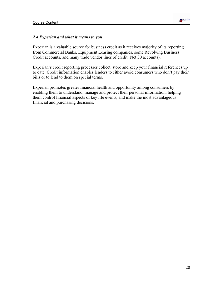

#### *2.4 Experian and what it means to you*

Experian is a valuable source for business credit as it receives majority of its reporting from Commercial Banks, Equipment Leasing companies, some Revolving Business Credit accounts, and many trade vendor lines of credit (Net 30 accounts).

Experian's credit reporting processes collect, store and keep your financial references up to date. Credit information enables lenders to either avoid consumers who don't pay their bills or to lend to them on special terms.

Experian promotes greater financial health and opportunity among consumers by enabling them to understand, manage and protect their personal information, helping them control financial aspects of key life events, and make the most advantageous financial and purchasing decisions.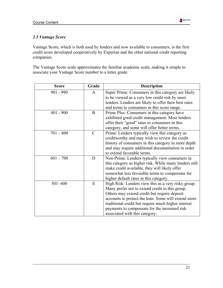

### *2.5 Vantage Score*

Vantage Score, which is both used by lenders and now available to consumers, is the first credit score developed cooperatively by Experian and the other national credit reporting companies.

The Vantage Score scale approximates the familiar academic scale, making it simple to associate your Vantage Score number to a letter grade.

| <b>Score</b> | Grade         | <b>Description</b>                                     |
|--------------|---------------|--------------------------------------------------------|
| $901 - 990$  | A             | Super Prime: Consumers in this category are likely     |
|              |               | to be viewed as a very low credit risk by most         |
|              |               | lenders. Lenders are likely to offer their best rates  |
|              |               | and terms to consumers in this score range.            |
| $801 - 900$  | $\bf{B}$      | Prime Plus: Consumers in this category have            |
|              |               | exhibited good credit management. Most lenders         |
|              |               | offer their "good" rates to consumers in this          |
|              |               | category, and some will offer better terms.            |
| $701 - 800$  | $\mathcal{C}$ | Prime: Lenders typically view this category as         |
|              |               | creditworthy and may wish to review the credit         |
|              |               | history of consumers in this category in more depth    |
|              |               | and may require additional documentation in order      |
|              |               | to extend favorable terms.                             |
| $601 - 700$  | D             | Non-Prime: Lenders typically view consumers in         |
|              |               | this category as higher risk. While many lenders still |
|              |               | make credit available, they will likely offer          |
|              |               | somewhat less favorable terms to compensate for        |
|              |               | higher default rates in this category.                 |
| $501 - 600$  | E             | High Risk: Lenders view this as a very risky group.    |
|              |               | Many prefer not to extend credit to this group.        |
|              |               | Others may extend credit but require deposit           |
|              |               | accounts to protect the loan. Some will extend more    |
|              |               | traditional credit but require much higher interest    |
|              |               | payments to compensate for the increased risk          |
|              |               | associated with this category.                         |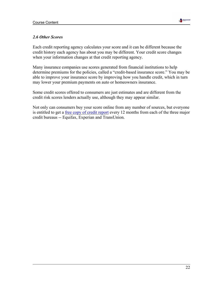

#### *2.6 Other Scores*

Each credit reporting agency calculates your score and it can be different because the credit history each agency has about you may be different. Your credit score changes when your information changes at that credit reporting agency.

Many insurance companies use scores generated from financial institutions to help determine premiums for the policies, called a "credit-based insurance score." You may be able to improve your insurance score by improving how you handle credit, which in turn may lower your premium payments on auto or homeowners insurance.

Some credit scores offered to consumers are just estimates and are different from the credit risk scores lenders actually use, although they may appear similar.

Not only can consumers buy your score online from any number of sources, but everyone is entitled to get a free copy of credit report every 12 months from each of the three major credit bureaus -- Equifax, Experian and TransUnion.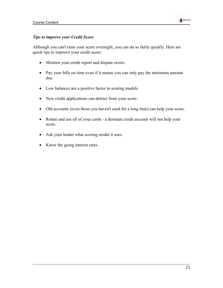

#### *Tips to improve your Credit Score*

Although you can't raise your score overnight, you can do so fairly quickly. Here are quick tips to improve your credit score:

- Monitor your credit report and dispute errors.
- Pay your bills on time even if it means you can only pay the minimum amount due.
- Low balances are a positive factor in scoring models
- New credit applications can detract from your score.
- Old accounts (even those you haven't used for a long time) can help your score.
- Rotate and use all of your cards a dormant credit account will not help your score.
- Ask your lender what scoring model it uses.
- Know the going interest rates.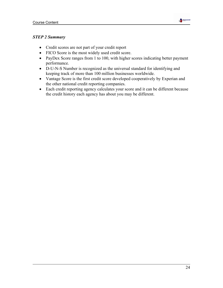

### *STEP 2 Summary*

- Credit scores are not part of your credit report
- FICO Score is the most widely used credit score.
- PayDex Score ranges from 1 to 100, with higher scores indicating better payment performance.
- D-U-N-S Number is recognized as the universal standard for identifying and keeping track of more than 100 million businesses worldwide.
- Vantage Score is the first credit score developed cooperatively by Experian and the other national credit reporting companies.
- Each credit reporting agency calculates your score and it can be different because the credit history each agency has about you may be different.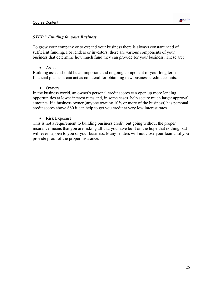

#### *STEP 3 Funding for your Business*

To grow your company or to expand your business there is always constant need of sufficient funding. For lenders or investors, there are various components of your business that determine how much fund they can provide for your business. These are:

• Assets

Building assets should be an important and ongoing component of your long term financial plan as it can act as collateral for obtaining new business credit accounts.

• Owners

In the business world, an owner's personal credit scores can open up more lending opportunities at lower interest rates and, in some cases, help secure much larger approval amounts. If a business owner (anyone owning 10% or more of the business) has personal credit scores above 680 it can help to get you credit at very low interest rates.

• Risk Exposure

This is not a requirement to building business credit, but going without the proper insurance means that you are risking all that you have built on the hope that nothing bad will ever happen to you or your business. Many lenders will not close your loan until you provide proof of the proper insurance.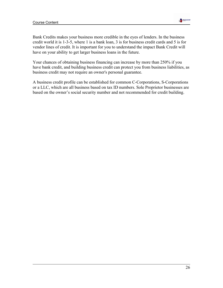

Bank Credits makes your business more credible in the eyes of lenders. In the business credit world it is 1-3-5, where 1 is a bank loan, 3 is for business credit cards and 5 is for vendor lines of credit. It is important for you to understand the impact Bank Credit will have on your ability to get larger business loans in the future.

Your chances of obtaining business financing can increase by more than 250% if you have bank credit, and building business credit can protect you from business liabilities, as business credit may not require an owner's personal guarantee.

A business credit profile can be established for common C-Corporations, S-Corporations or a LLC, which are all business based on tax ID numbers. Sole Proprietor businesses are based on the owner's social security number and not recommended for credit building.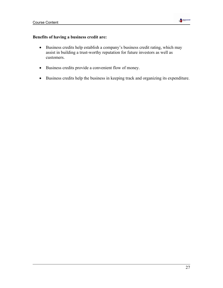

### **Benefits of having a business credit are:**

- Business credits help establish a company's business credit rating, which may assist in building a trust-worthy reputation for future investors as well as customers.
- Business credits provide a convenient flow of money.
- Business credits help the business in keeping track and organizing its expenditure.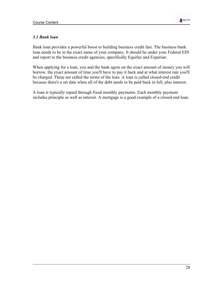

#### *3.1 Bank loan*

Bank loan provides a powerful boost to building business credit fast. The business bank loan needs to be in the exact name of your company. It should be under your Federal EIN and report to the business credit agencies, specifically Equifax and Experian.

When applying for a loan, you and the bank agree on the exact amount of money you will borrow, the exact amount of time you'll have to pay it back and at what interest rate you'll be charged. These are called the terms of the loan. A loan is called closed-end credit because there's a set date when all of the debt needs to be paid back in full, plus interest.

A loan is typically repaid through fixed monthly payments. Each monthly payment includes principle as well as interest. A mortgage is a good example of a closed-end loan.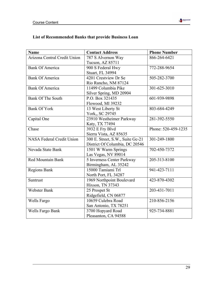

## **List of Recommended Banks that provide Business Loan**

| <b>Name</b>                      | <b>Contact Address</b>           | <b>Phone Number</b> |
|----------------------------------|----------------------------------|---------------------|
| Arizona Central Credit Union     | 787 S Alvernon Way               | 866-264-6421        |
|                                  | Tucson, AZ 85711                 |                     |
| <b>Bank Of America</b>           | 900 S Federal Hwy                | 772-288-9654        |
|                                  | Stuart, FL 34994                 |                     |
| <b>Bank Of America</b>           | 4201 Crestview Dr Se             | 505-282-3700        |
|                                  | Rio Rancho, NM 87124             |                     |
| <b>Bank Of America</b>           | 11499 Columbia Pike              | 301-625-3010        |
|                                  | Silver Spring, MD 20904          |                     |
| <b>Bank Of The South</b>         | P.O. Box 321435                  | 601-939-9898        |
|                                  | Flowood, MI 39232                |                     |
| <b>Bank Of York</b>              | 13 West Liberty St               | 803-684-4249        |
|                                  | York,, SC 29745                  |                     |
| Capital One                      | 23910 Westheimer Parkway         | 281-392-5550        |
|                                  | Katy, TX 77494                   |                     |
| Chase                            | 3932 E Fry Blvd                  | Phone: 520-459-1235 |
|                                  | Sierra Vista, AZ 85635           |                     |
| <b>NASA Federal Credit Union</b> | 300 E. Street, S.W., Suite Gc-21 | 301-249-1800        |
|                                  | District Of Columbia, DC 20546   |                     |
| Nevada State Bank                | 1501 W Warm Springs              | 702-450-7372        |
|                                  | Las Vegas, NV 89014              |                     |
| Red Mountain Bank                | 5 Inverness Center Parkway       | 205-313-8100        |
|                                  | Birmingham, AL 35242             |                     |
| <b>Regions Bank</b>              | 15000 Tamiami Trl                | 941-423-7111        |
|                                  | North Port, FL 34287             |                     |
| Suntrust                         | 1969 Northpoint Boulevard        | 423-870-4302        |
|                                  | Hixson, TN 37343                 |                     |
| Webster Bank                     | 25 Prospet St                    | 203-431-7011        |
|                                  | Ridgefield, CN 06877             |                     |
| Wells Fargo                      | 10659 Culebra Road               | 210-856-2156        |
|                                  | San Antonio, TX 78251            |                     |
| Wells Fargo Bank                 | 3700 Hopyard Road                | 925-734-8881        |
|                                  | Pleasanton, CA 94588             |                     |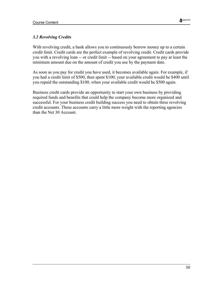

#### *3.2 Revolving Credits*

With revolving credit, a bank allows you to continuously borrow money up to a certain credit limit. Credit cards are the perfect example of revolving credit. Credit cards provide you with a revolving loan -- or credit limit -- based on your agreement to pay at least the minimum amount due on the amount of credit you use by the payment date.

As soon as you pay for credit you have used, it becomes available again. For example, if you had a credit limit of \$500, then spent \$100; your available credit would be \$400 until you repaid the outstanding \$100, when your available credit would be \$500 again.

Business credit cards provide an opportunity to start your own business by providing required funds and benefits that could help the company become more organized and successful. For your business credit building success you need to obtain three revolving credit accounts. These accounts carry a little more weight with the reporting agencies than the Net 30 Account.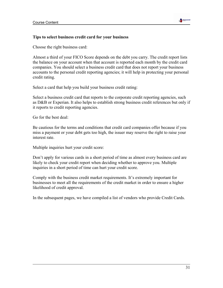

#### **Tips to select business credit card for your business**

Choose the right business card:

Almost a third of your FICO Score depends on the debt you carry. The credit report lists the balance on your account when that account is reported each month by the credit card companies. You should select a business credit card that does not report your business accounts to the personal credit reporting agencies; it will help in protecting your personal credit rating.

Select a card that help you build your business credit rating:

Select a business credit card that reports to the corporate credit reporting agencies, such as D&B or Experian. It also helps to establish strong business credit references but only if it reports to credit reporting agencies.

Go for the best deal:

Be cautious for the terms and conditions that credit card companies offer because if you miss a payment or your debt gets too high, the issuer may reserve the right to raise your interest rate.

Multiple inquiries hurt your credit score:

Don't apply for various cards in a short period of time as almost every business card are likely to check your credit report when deciding whether to approve you. Multiple inquiries in a short period of time can hurt your credit score.

Comply with the business credit market requirements. It's extremely important for businesses to meet all the requirements of the credit market in order to ensure a higher likelihood of credit approval.

In the subsequent pages, we have compiled a list of vendors who provide Credit Cards.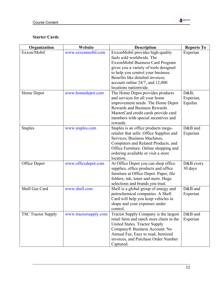

| Organization              | Website               | <b>Description</b>                                                                                                                                                                                                                                                               | <b>Reports To</b>            |
|---------------------------|-----------------------|----------------------------------------------------------------------------------------------------------------------------------------------------------------------------------------------------------------------------------------------------------------------------------|------------------------------|
| Exxon/Mobil               | www.exxonmobil.com    | ExxonMobil provides high-quality<br>fuels sold worldwide. The<br>ExxonMobil Business Card Program<br>gives you a variety of tools designed<br>to help you control your business.<br>Benefits like detailed invoices,<br>account online 24/7, and 12,000<br>locations nationwide. | Experian                     |
| Home Depot                | www.homedepot.com     | The Home Depot provides products<br>and services for all your home<br>improvement needs. The Home Depot<br><b>Rewards and Business Rewards</b><br>MasterCard credit cards provide card<br>members with special incentives and<br>rewards.                                        | D&B,<br>Experian,<br>Equifax |
| <b>Staples</b>            | www.staples.com       | Staples is an office products mega-<br>retailer that sells: Office Supplies and<br>Services, Business Machines,<br>Computers and Related Products, and<br>Office Furniture. Online shopping and<br>ordering available or visit a store<br>location.                              | D&B and<br>Experian          |
| Office Depot              | www.officedepot.com   | At Office Depot you can shop office<br>supplies, office products and office<br>furniture at Office Depot. Paper, file<br>folders, ink, toner and more. Huge<br>selections and brands you trust.                                                                                  | D&B every<br>30 days         |
| Shell Gas Card            | www.shell.com         | Shell is a global group of energy and<br>petrochemical companies. A Shell<br>Card will help you keep vehicles in<br>shape and your expenses under<br>control.                                                                                                                    | D&B and<br>Experian          |
| <b>TSC Tractor Supply</b> | www.tractorsupply.com | Tractor Supply Company is the largest<br>retail farm and ranch store chain in the<br>United States. Tractor Supply<br>Company® Business Account: No<br>Annual Fee, Easy to read, Itemized<br>invoices, and Purchase Order Number<br>Captured.                                    | D&B and<br>Experian          |

**Market**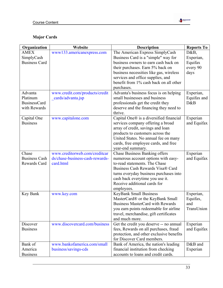

# **Major Cards**

| Organization         | Website                         | <b>Description</b>                       | <b>Reports To</b> |
|----------------------|---------------------------------|------------------------------------------|-------------------|
| <b>AMEX</b>          | www133.americanexpress.com      | The American Express SimplyCash          | D&B,              |
| SimplyCash           |                                 | Business Card is a "simple" way for      | Experian,         |
| <b>Business Card</b> |                                 | business owners to earn cash back on     | Equifax           |
|                      |                                 | their purchases. Earn 5% back on         | every 90          |
|                      |                                 | business necessities like gas, wireless  | days              |
|                      |                                 | services and office supplies, and        |                   |
|                      |                                 | benefit from 1% cash back on all other   |                   |
|                      |                                 | purchases.                               |                   |
| Advanta              | www.credit.com/products/credit  | Advanta's business focus is on helping   | Experian,         |
| Platinum             | cards/advanta.jsp               | small businesses and business            | Equifax and       |
| <b>BusinessCard</b>  |                                 | professionals get the credit they        | D&B               |
| with Rewards         |                                 | deserve and the financing they need to   |                   |
|                      |                                 | thrive.                                  |                   |
| Capital One          | www.capitalone.com              | Capital One® is a diversified financial  | Experian          |
| <b>Business</b>      |                                 | services company offering a broad        | and Equifax       |
|                      |                                 | array of credit, savings and loan        |                   |
|                      |                                 | products to customers across the         |                   |
|                      |                                 | United States. No annual fee on many     |                   |
|                      |                                 | cards, free employee cards, and free     |                   |
|                      |                                 | year-end summary.                        |                   |
| Chase                | www.creditorweb.com/creditcar   | <b>Chase Business Banking offers</b>     | Experian          |
| <b>Business Cash</b> | ds/chase-business-cash-rewards- | numerous account options with easy-      | and Equifax       |
| Rewards Card         | card.html                       | to-read statements. The Chase            |                   |
|                      |                                 | Business Cash Rewards Visa® Card         |                   |
|                      |                                 | turns everyday business purchases into   |                   |
|                      |                                 | cash back everytime you use it.          |                   |
|                      |                                 | Receive additional cards for             |                   |
|                      |                                 | employees.                               |                   |
| Key Bank             | www.key.com                     | <b>KeyBank Small Business</b>            | Experian,         |
|                      |                                 | MasterCard® or the KeyBank Small         | Equifax,          |
|                      |                                 | <b>Business MasterCard with Rewards</b>  | and               |
|                      |                                 | you earn points redeemable for airline   | TransUnion        |
|                      |                                 | travel, merchandise, gift certificates   |                   |
|                      |                                 | and much more.                           |                   |
| Discover             | www.discovercard.com/business   | Get the credit you deserve -- no annual  | Experian          |
| <b>Business</b>      |                                 | fees, Rewards on all purchases, fraud    | and Equifax       |
|                      |                                 | protection, and other exclusive benefits |                   |
|                      |                                 | for Discover Card members.               |                   |
| Bank of              | www.bankofamerica.com/small     | Bank of America, the nation's leading    | D&B and           |
| America              | business/savings-cds            | financial institution from checking      | Experian          |
| <b>Business</b>      |                                 | accounts to loans and credit cards.      |                   |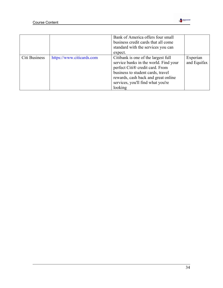

|               |                           | Bank of America offers four small<br>business credit cards that all come<br>standard with the services you can<br>expect.                                                                                                                   |                         |
|---------------|---------------------------|---------------------------------------------------------------------------------------------------------------------------------------------------------------------------------------------------------------------------------------------|-------------------------|
| Citi Business | https://www.citicards.com | Citibank is one of the largest full<br>service banks in the world. Find your<br>perfect Citi® credit card. From<br>business to student cards, travel<br>rewards, cash back and great online<br>services, you'll find what you're<br>looking | Experian<br>and Equifax |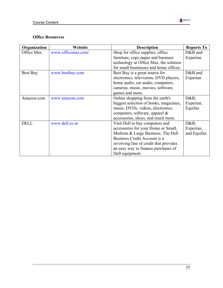

| Organization | Website            | <b>Description</b>                     | <b>Reports To</b> |
|--------------|--------------------|----------------------------------------|-------------------|
| Office Max   | www.officemax.com/ | Shop for office supplies, office       | $D&B$ and         |
|              |                    | furniture, copy paper and business     | Experian          |
|              |                    | technology at Office Max, the solution |                   |
|              |                    | for small businesses and home offices. |                   |
| Best Buy     | www.bestbuy.com    | Best Buy is a great source for         | $D&B$ and         |
|              |                    | electronics, televisions, DVD players, | Experian          |
|              |                    | home audio, car audio, computers,      |                   |
|              |                    | cameras, music, movies, software,      |                   |
|              |                    | games and more.                        |                   |
| Amazon.com   | www.amazon.com     | Online shopping from the earth's       | $D&B$ ,           |
|              |                    | biggest selection of books, magazines, | Experian,         |
|              |                    | music, DVDs, videos, electronics,      | Equifax           |
|              |                    | computers, software, apparel $\&$      |                   |
|              |                    | accessories, shoes, and much more.     |                   |
| <b>DELL</b>  | www.dell.co.in     | Visit Dell to buy computers and        | $D&B$ ,           |
|              |                    | accessories for your Home or Small,    | Experian,         |
|              |                    | Medium & Large Business. The Dell      | and Equifax       |
|              |                    | Business Credit Account is a           |                   |
|              |                    | revolving line of credit that provides |                   |
|              |                    | an easy way to finance purchases of    |                   |
|              |                    | Dell equipment.                        |                   |

**Market**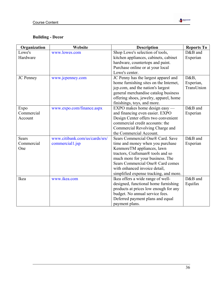

| Organization     | Website                        | <b>Description</b>                     | <b>Reports To</b> |
|------------------|--------------------------------|----------------------------------------|-------------------|
| Lowe's           | www.lowes.com                  | Shop Lowe's selection of tools,        | D&B and           |
| Hardware         |                                | kitchen appliances, cabinets, cabinet  | Experian          |
|                  |                                | hardware, countertops and paint.       |                   |
|                  |                                | Purchase online or at your local       |                   |
|                  |                                | Lowe's center.                         |                   |
| <b>JC</b> Penney | www.jcpenney.com               | JC Penny has the largest apparel and   | D&B,              |
|                  |                                | home furnishing sites on the Internet, | Experian,         |
|                  |                                | jcp.com, and the nation's largest      | TransUnion        |
|                  |                                | general merchandise catalog business   |                   |
|                  |                                | offering shoes, jewelry, apparel, home |                   |
|                  |                                | finishings, toys, and more.            |                   |
| Expo             | www.expo.com/finance.aspx      | EXPO makes home design easy —          | D&B and           |
| Commercial       |                                | and financing even easier. EXPO        | Experian          |
| Account          |                                | Design Center offers two convenient    |                   |
|                  |                                | commercial credit accounts: the        |                   |
|                  |                                | Commercial Revolving Charge and        |                   |
|                  |                                | the Commercial Account.                |                   |
| <b>Sears</b>     | www.citibank.com/us/cards/srs/ | Sears Commercial One® Card. Save       | D&B and           |
| Commercial       | commercial1.jsp                | time and money when you purchase       | Experian          |
| One              |                                | KenmoreTM appliances, lawn             |                   |
|                  |                                | tractors, Craftsman® tools and so      |                   |
|                  |                                | much more for your business. The       |                   |
|                  |                                | Sears Commercial One® Card comes       |                   |
|                  |                                | with enhanced invoice detail,          |                   |
|                  |                                | simplified expense tracking, and more. |                   |
| Ikea             | www.ikea.com                   | Ikea offers a wide range of well-      | D&B and           |
|                  |                                | designed, functional home furnishing   | Equifax           |
|                  |                                | products at prices low enough for any  |                   |
|                  |                                | budget. No annual service fees.        |                   |
|                  |                                | Deferred payment plans and equal       |                   |
|                  |                                | payment plans.                         |                   |

**Mark**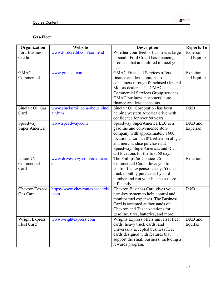

## **Gas-Fleet**

| Organization                   | Website                                    | <b>Description</b>                                                                                                                                                                                                                                         | <b>Reports To</b>       |
|--------------------------------|--------------------------------------------|------------------------------------------------------------------------------------------------------------------------------------------------------------------------------------------------------------------------------------------------------------|-------------------------|
| <b>Ford Business</b><br>Credit | www.fordcredit.com/comlend                 | Whether your fleet or business is large<br>or small, Ford Credit has financing<br>products that are tailored to meet your                                                                                                                                  | Experian<br>and Equifax |
| <b>GMAC</b><br>Commercial      | www.gmaccf.com                             | needs.<br><b>GMAC Financial Services offers</b><br>finance and lease options to<br>consumers through franchised General<br>Motors dealers. The GMAC<br>Commercial Services Group services<br>GMAC business customers' auto<br>finance and lease accounts.  | Experian<br>and Equifax |
| Sinclair Oil Gas<br>Card       | www.sinclairoil.com/about_sincl<br>air.htm | Sinclair Oil Corporation has been<br>helping western America drive with<br>confidence for over 80 years.                                                                                                                                                   | D&B                     |
| Speedway<br>Super America      | www.speedway.com                           | Speedway SuperAmerica LLC is a<br>gasoline and convenience store<br>company with approximately 1600<br>locations. Earn an 8% rebate on all gas<br>and merchandise purchased at<br>Speedway, SuperAmerica, and Rich<br>Oil locations for the first 60 days! | D&B and<br>Experian     |
| Union 76<br>Commercial<br>Card | www.drivesavvy.com/creditcard<br>S         | The Phillips 66-Conoco-76<br>Commercial Card allows you to<br>control fuel expenses easily. You can<br>track monthly purchases by card<br>number and run your business more<br>efficiently.                                                                | Experian                |
| Chevron/Texaco<br>Gas Card     | https://www.chevrontexacocards<br>.com     | Chevron Business Card gives you a<br>turn-key system to help control and<br>monitor fuel expenses. The Business<br>Card is accepted at thousands of<br>Chevron and Texaco stations for<br>gasoline, tires, batteries, and more.                            | D&B                     |
| Wright Express<br>Fleet Card   | www.wrightexpress.com                      | Wrights Express offers universal fleet<br>cards, heavy truck cards, and<br>universally accepted business fleet<br>cards designed with features that<br>support the small business, including a<br>rewards program.                                         | D&B and<br>Equifax      |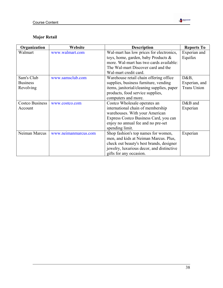

# **Major Retail**

| Organization    | Website              | <b>Description</b>                         | <b>Reports To</b>  |
|-----------------|----------------------|--------------------------------------------|--------------------|
| Walmart         | www.walmart.com      | Wal-mart has low prices for electronics,   | Experian and       |
|                 |                      | toys, home, garden, baby Products $\&$     | Equifax            |
|                 |                      | more. Wal-mart has two cards available:    |                    |
|                 |                      | The Wal-mart Discover card and the         |                    |
|                 |                      | Wal-mart credit card.                      |                    |
| Sam's Club      | www.samsclub.com     | Warehouse retail chain offering office     | D&B,               |
| <b>Business</b> |                      | supplies, business furniture, vending      | Experian, and      |
| Revolving       |                      | items, janitorial/cleaning supplies, paper | <b>Trans Union</b> |
|                 |                      | products, food service supplies,           |                    |
|                 |                      | computers and more.                        |                    |
| Costco Business | www.costco.com       | Costco Wholesale operates an               | $D&B$ and          |
| Account         |                      | international chain of membership          | Experian           |
|                 |                      | warehouses. With your American             |                    |
|                 |                      | Express Costco Business Card, you can      |                    |
|                 |                      | enjoy no annual fee and no pre-set         |                    |
|                 |                      | spending limit.                            |                    |
| Neiman Marcus   | www.neimanmarcus.com | Shop fashion's top names for women,        | Experian           |
|                 |                      | men, and kids at Neiman Marcus. Plus,      |                    |
|                 |                      | check out beauty's best brands, designer   |                    |
|                 |                      | jewelry, luxurious decor, and distinctive  |                    |
|                 |                      | gifts for any occasion.                    |                    |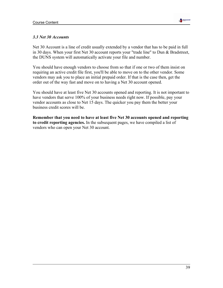

#### *3.3 Net 30 Accounts*

Net 30 Account is a line of credit usually extended by a vendor that has to be paid in full in 30 days. When your first Net 30 account reports your "trade line" to Dun & Bradstreet, the DUNS system will automatically activate your file and number.

You should have enough vendors to choose from so that if one or two of them insist on requiring an active credit file first, you'll be able to move on to the other vendor. Some vendors may ask you to place an initial prepaid order. If that is the case then, get the order out of the way fast and move on to having a Net 30 account opened.

You should have at least five Net 30 accounts opened and reporting. It is not important to have vendors that serve 100% of your business needs right now. If possible, pay your vendor accounts as close to Net 15 days. The quicker you pay them the better your business credit scores will be.

**Remember that you need to have at least five Net 30 accounts opened and reporting to credit reporting agencies.** In the subsequent pages, we have compiled a list of vendors who can open your Net 30 account.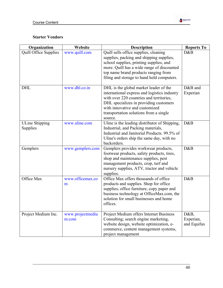

| Organization                      | Website                   | <b>Description</b>                                                                                                                                                                                                                                                  | <b>Reports To</b>                |
|-----------------------------------|---------------------------|---------------------------------------------------------------------------------------------------------------------------------------------------------------------------------------------------------------------------------------------------------------------|----------------------------------|
| <b>Quill Office Supplies</b>      | www.quill.com             | Quill sells office supplies, cleaning<br>supplies, packing and shipping supplies,<br>school supplies, printing supplies, and<br>more. Quill has a wide range of discounted<br>top name brand products ranging from<br>filing and storage to hand held computers.    | D&B                              |
| <b>DHL</b>                        | www.dhl.co.in             | DHL is the global market leader of the<br>international express and logistics industry<br>with over 220 countries and territories,<br>DHL specializes in providing customers<br>with innovative and customized<br>transportation solutions from a single<br>source. | D&B and<br>Experian              |
| <b>ULine Shipping</b><br>Supplies | www.uline.com             | Uline is the leading distributor of Shipping,<br>Industrial, and Packing materials,<br>Industrial and Janitorial Products. 99.5% of<br>Uline's orders ship the same day, with no<br>backorders.                                                                     | D&B                              |
| Gemplers                          | www.gemplers.com          | Gemplers provides workwear products,<br>footwear products, safety products, tires,<br>shop and maintenance supplies, pest<br>management products, crop, turf and<br>nursery supplies, ATV, tractor and vehicle<br>supplies.                                         | D&B                              |
| Office Max                        | www.officemax.co<br>m     | Office Max offers thousands of office<br>products and supplies. Shop for office<br>supplies, office furniture, copy paper and<br>business technology at OfficeMax.com, the<br>solution for small businesses and home<br>offices.                                    | D&B                              |
| Project Medium Inc.               | www.projectmediu<br>m.com | Project Medium offers Internet Business<br>Consulting; search engine marketing,<br>website design, website optimization, e-<br>commerce, content management systems,<br>project management                                                                          | D&B,<br>Experian,<br>and Equifax |

**Mark**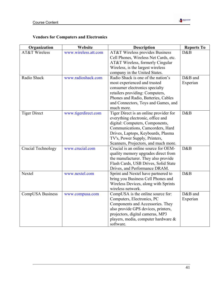

## **Vendors for Computers and Electronics**

| Organization             | Website              | <b>Description</b>                         | <b>Reports To</b> |
|--------------------------|----------------------|--------------------------------------------|-------------------|
| <b>AT&amp;T Wireless</b> | www.wireless.att.com | <b>AT&amp;T Wireless provides Business</b> | D&B               |
|                          |                      | Cell Phones, Wireless Net Cards, etc.      |                   |
|                          |                      | AT&T Wireless, formerly Cingular           |                   |
|                          |                      | Wireless, is the largest wireless          |                   |
|                          |                      | company in the United States.              |                   |
| Radio Shack              | www.radioshack.com   | Radio Shack is one of the nation's         | D&B and           |
|                          |                      | most experienced and trusted               | Experian          |
|                          |                      | consumer electronics specialty             |                   |
|                          |                      | retailers providing: Computers,            |                   |
|                          |                      | Phones and Radio, Batteries, Cables        |                   |
|                          |                      | and Connectors, Toys and Games, and        |                   |
|                          |                      | much more.                                 |                   |
| <b>Tiger Direct</b>      | www.tigerdirect.com  | Tiger Direct is an online provider for     | D&B               |
|                          |                      | everything electronic, office and          |                   |
|                          |                      | digital: Computers, Components,            |                   |
|                          |                      | Communications, Camcorders, Hard           |                   |
|                          |                      | Drives, Laptops, Keyboards, Plasma         |                   |
|                          |                      | TV's, Power Supply, Printers,              |                   |
|                          |                      | Scanners, Projectors, and much more.       |                   |
| Crucial Technology       | www.crucial.com      | Crucial is an online source for OEM-       | D&B               |
|                          |                      | quality memory upgrades direct from        |                   |
|                          |                      | the manufacturer. They also provide        |                   |
|                          |                      | Flash Cards, USB Drives, Solid State       |                   |
|                          |                      | Drives, and Performance DRAM.              |                   |
| Nextel                   | www.nextel.com       | Sprint and Nextel have partnered to        | D&B               |
|                          |                      | bring you Business Cell Phones and         |                   |
|                          |                      | Wireless Devices, along with Sprints       |                   |
|                          |                      | wireless network.                          |                   |
| CompUSA Business         | www.compusa.com      | CompUSA is the online source for:          | D&B and           |
|                          |                      | Computers, Electronics, PC                 | Experian          |
|                          |                      | Components and Accessories. They           |                   |
|                          |                      | also provide GPS devices, printers,        |                   |
|                          |                      | projectors, digital cameras, MP3           |                   |
|                          |                      | players, media, computer hardware &        |                   |
|                          |                      | software.                                  |                   |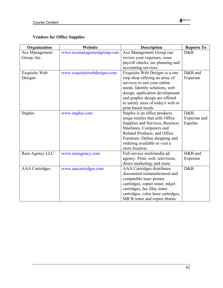

## **Vendors for Office Supplies**

| Organization          | Website                     | <b>Description</b>                  | <b>Reports To</b> |
|-----------------------|-----------------------------|-------------------------------------|-------------------|
| Ace Management        | www.acemanagementgroup.com  | Ace Management Group can            | D&B               |
| Group, Inc.           |                             | review your expenses, issue         |                   |
|                       |                             | payroll checks, tax planning and    |                   |
|                       |                             | accounting services.                |                   |
| Exquisite Web         | www.exquisitewebdesigns.com | Exquisite Web Designs is a one      | D&B and           |
| Designs               |                             | stop shop offering an array of      | Experian          |
|                       |                             | services to suit your online        |                   |
|                       |                             | needs. Identity solutions, web      |                   |
|                       |                             | design, application development     |                   |
|                       |                             | and graphic design are offered      |                   |
|                       |                             | to satisfy most of today's web or   |                   |
|                       |                             | print based needs.                  |                   |
| <b>Staples</b>        | www.staples.com             | Staples is an office products       | D&B,              |
|                       |                             | mega-retailer that sells Office     | Experian and      |
|                       |                             | Supplies and Services, Business     | Equifax           |
|                       |                             | Machines, Computers and             |                   |
|                       |                             | Related Products, and Office        |                   |
|                       |                             | Furniture. Online shopping and      |                   |
|                       |                             | ordering available or visit a       |                   |
|                       |                             | store location.                     |                   |
| Rain Agency LLC       | www.rainagency.com          | Full service multimedia ad          | D&B and           |
|                       |                             | agency. Print, web, television,     | Experian          |
|                       |                             | direct marketing, and more.         |                   |
| <b>AAA</b> Cartridges | www.aaacartridges.com       | <b>AAA</b> Cartridges distributes   | D&B               |
|                       |                             | discounted remanufactured and       |                   |
|                       |                             | compatible laser printer            |                   |
|                       |                             | cartridges, copier toner, inkjet    |                   |
|                       |                             | cartridges, fax film, toner         |                   |
|                       |                             | cartridges, color laser cartridges, |                   |
|                       |                             | MICR toner and copier drums.        |                   |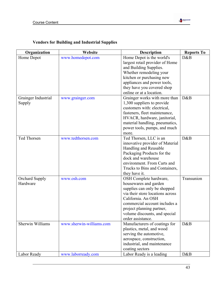

## **Vendors for Building and Industrial Supplies**

| Organization        | Website                  | <b>Description</b>               | <b>Reports To</b> |
|---------------------|--------------------------|----------------------------------|-------------------|
| Home Depot          | www.homedepot.com        | Home Depot is the world's        | D&B               |
|                     |                          | largest retail provider of Home  |                   |
|                     |                          | and Building Supplies.           |                   |
|                     |                          | Whether remodeling your          |                   |
|                     |                          | kitchen or purchasing new        |                   |
|                     |                          | appliances and power tools,      |                   |
|                     |                          | they have you covered shop       |                   |
|                     |                          | online or at a location.         |                   |
| Grainger Industrial | www.grainger.com         | Grainger works with more than    | D&B               |
| Supply              |                          | 1,300 suppliers to provide       |                   |
|                     |                          | customers with: electrical,      |                   |
|                     |                          | fasteners, fleet maintenance,    |                   |
|                     |                          | HVACR, hardware, janitorial,     |                   |
|                     |                          | material handling, pneumatics,   |                   |
|                     |                          | power tools, pumps, and much     |                   |
|                     |                          | more.                            |                   |
| Ted Thorsen         | www.tedthorsen.com       | Ted Thorsen, LLC is an           | D&B               |
|                     |                          | innovative provider of Material  |                   |
|                     |                          | Handling and Reusable            |                   |
|                     |                          | Packaging Products for the       |                   |
|                     |                          | dock and warehouse               |                   |
|                     |                          | environment. From Carts and      |                   |
|                     |                          | Trucks to Bins and Containers,   |                   |
|                     |                          | they have it.                    |                   |
| Orchard Supply      | www.osh.com              | OSH Complete hardware,           | Transunion        |
| Hardware            |                          | housewares and garden            |                   |
|                     |                          | supplies can only be shopped     |                   |
|                     |                          | via their store locations across |                   |
|                     |                          | California. An OSH               |                   |
|                     |                          | commercial account includes a    |                   |
|                     |                          | project planning partner,        |                   |
|                     |                          | volume discounts, and special    |                   |
|                     |                          | order assistance.                |                   |
| Sherwin Williams    | www.sherwin-williams.com | Manufacturers of coatings for    | D&B               |
|                     |                          | plastics, metal, and wood        |                   |
|                     |                          | serving the automotive,          |                   |
|                     |                          | aerospace, construction,         |                   |
|                     |                          | industrial, and maintenance      |                   |
|                     |                          | coating sectors                  |                   |
| Labor Ready         | www.laborready.com       | Labor Ready is a leading         | D&B               |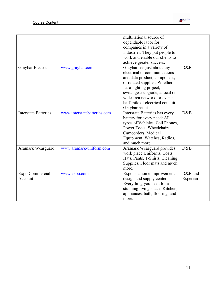|                             |                             | multinational source of<br>dependable labor for<br>companies in a variety of<br>industries. They put people to<br>work and enable our clients to<br>achieve greater success.                                                                                                    |                     |
|-----------------------------|-----------------------------|---------------------------------------------------------------------------------------------------------------------------------------------------------------------------------------------------------------------------------------------------------------------------------|---------------------|
| Graybar Electric            | www.graybar.com             | Graybar has just about any<br>electrical or communications<br>and data product, component,<br>or related supplies. Whether<br>it's a lighting project,<br>switchgear upgrade, a local or<br>wide area network, or even a<br>half-mile of electrical conduit,<br>Graybar has it. | D&B                 |
| <b>Interstate Batteries</b> | www.interstatebatteries.com | Interstate Batteries has every<br>battery for every need: All<br>types of Vehicles, Cell Phones,<br>Power Tools, Wheelchairs,<br>Camcorders, Medical<br>Equipment, Watches, Radios,<br>and much more.                                                                           | D&B                 |
| Aramark Wearguard           | www.aramark-uniform.com     | Aramark Wearguard provides<br>work place Uniforms, Coats,<br>Hats, Pants, T-Shirts, Cleaning<br>Supplies, Floor mats and much<br>more.                                                                                                                                          | D&B                 |
| Expo Commercial<br>Account  | www.expo.com                | Expo is a home improvement<br>design and supply center.<br>Everything you need for a<br>stunning living space. Kitchen,<br>appliances, bath, flooring, and<br>more.                                                                                                             | D&B and<br>Experian |

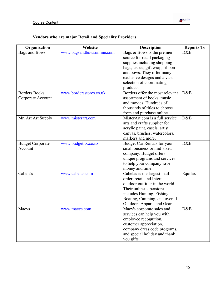

## **Vendors who are major Retail and Speciality Providers**

| Organization            | Website                   | <b>Description</b>                 | <b>Reports To</b> |
|-------------------------|---------------------------|------------------------------------|-------------------|
| Bags and Bows           | www.bagsandbowsonline.com | Bags $&$ Bows is the premier       | D&B               |
|                         |                           | source for retail packaging        |                   |
|                         |                           | supplies including shopping        |                   |
|                         |                           | bags, tissue, gift wrap, ribbon    |                   |
|                         |                           | and bows. They offer many          |                   |
|                         |                           | exclusive designs and a vast       |                   |
|                         |                           | selection of coordinating          |                   |
|                         |                           | products.                          |                   |
| <b>Borders Books</b>    | www.bordersstores.co.uk   | Borders offer the most relevant    | D&B               |
| Corporate Account       |                           | assortment of books, music         |                   |
|                         |                           | and movies. Hundreds of            |                   |
|                         |                           | thousands of titles to choose      |                   |
|                         |                           | from and purchase online.          |                   |
| Mr. Art Art Supply      | www.misterart.com         | MisterArt.com is a full service    | D&B               |
|                         |                           | arts and crafts supplier for       |                   |
|                         |                           | acrylic paint, easels, artist      |                   |
|                         |                           | canvas, brushes, watercolors,      |                   |
|                         |                           | markers and more.                  |                   |
| <b>Budget Corporate</b> | www.budget.tx.co.nz       | <b>Budget Car Rentals for your</b> | D&B               |
| Account                 |                           | small business or mid-sized        |                   |
|                         |                           | company. Budget offers             |                   |
|                         |                           | unique programs and services       |                   |
|                         |                           | to help your company save          |                   |
|                         |                           | money and time.                    |                   |
| Cabela's                | www.cabelas.com           | Cabelas is the largest mail-       | Equifax           |
|                         |                           | order, retail and Internet         |                   |
|                         |                           | outdoor outfitter in the world.    |                   |
|                         |                           | Their online superstore            |                   |
|                         |                           | includes Hunting, Fishing,         |                   |
|                         |                           | Boating, Camping, and overall      |                   |
|                         |                           | Outdoors Apparel and Gear.         |                   |
| Macys                   | www.macys.com             | Macy's corporate sales and         | D&B               |
|                         |                           | services can help you with         |                   |
|                         |                           | employee recognition,              |                   |
|                         |                           | customer appreciation,             |                   |
|                         |                           | company dress code programs,       |                   |
|                         |                           | and special holiday and thank      |                   |
|                         |                           | you gifts.                         |                   |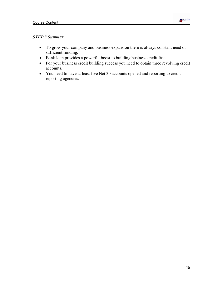

## *STEP 3 Summary*

- To grow your company and business expansion there is always constant need of sufficient funding.
- Bank loan provides a powerful boost to building business credit fast.
- For your business credit building success you need to obtain three revolving credit accounts.
- You need to have at least five Net 30 accounts opened and reporting to credit reporting agencies.